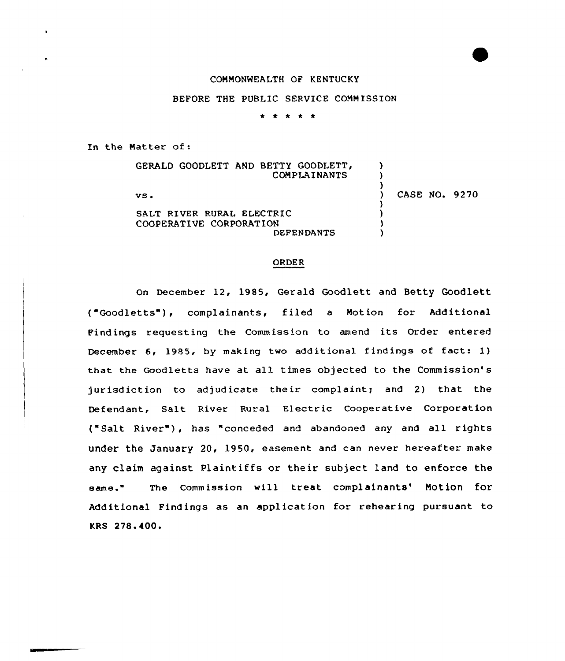## COMMONMEALTH OF KENTUCKY

## BEFORE THE PUBLIC SERVICE COMM ISSION

. . . . .

In the Matter of:

GERALD GOODLETT AND BETTY GOODLETT, COMPLAINANTS vs <sup>~</sup> SALT RIVER RURAL ELECTRIC COOPERATIVE CORPORATION DEFENDANTS  $\lambda$ ) )<br>) ) CASE NO. 9270 ) ) ) )

## ORDER

On December 12, 1985, Gerald Goodlett and Betty Goodlett ("Goodletts"), complainants, filed a Motion for Additional Findings requesting the Commission to amend its Order entered December 6, 1985, by making two additional findings of fact: 1) that the Goodletts have at al) times objected to the Commission's jurisdiction to adjudicate their complaint; and 2) that the Defendant, Salt River Rural Electric Cooperative Corporation ("Salt River"), has "conceded and abandoned any and all rights under the January 20, 1950, easement and can never hereafter make any claim against Plaintiffs or their subject land to enforce the same." The Commission will treat complainants' Motion for Additional Findings as an application for rehearing pursuant to KRS 278.400.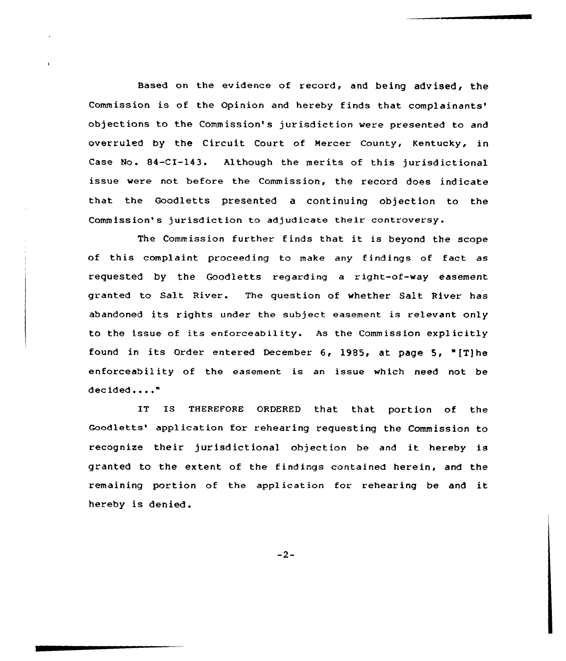Based on the evidence of record, and being advised, the Commission is of the Opinion and hereby finds that complainants'b objections to the Commission's jurisdiction were presented to and overruled by the Circuit Court of Mercer County, Kentucky, in Case No. 84-CI-143. Although the merits of this jurisdictional issue were not before the Commission, the record does indicate that the Goodletts presented a continuing objection to the Commission's jurisdiction to adjudicate their controversy.

The Commission further finds that it is beyond the scope of this complaint proceeding to make any findings of fact as requested by the Goodletts regarding a right-of-way easement granted to Salt River. The question of whether Salt River has abandoned its rights under the subject easement is relevant only to the issue of its enforceability. As the Commission explicitly found in its Order entered December 6, 1985, at page 5, "fT)he enforceability of the easement is an issue which need not be decided...."

IT IS THEREFORE ORDERED that that portion of the Goodletts' application for rehearing requesting the Commission to recognize their jurisdictional objection be and it hereby is granted to the extent of the findings contained herein, and the remaining portion of the application for rehearing be and it hereby is denied.

 $-2-$